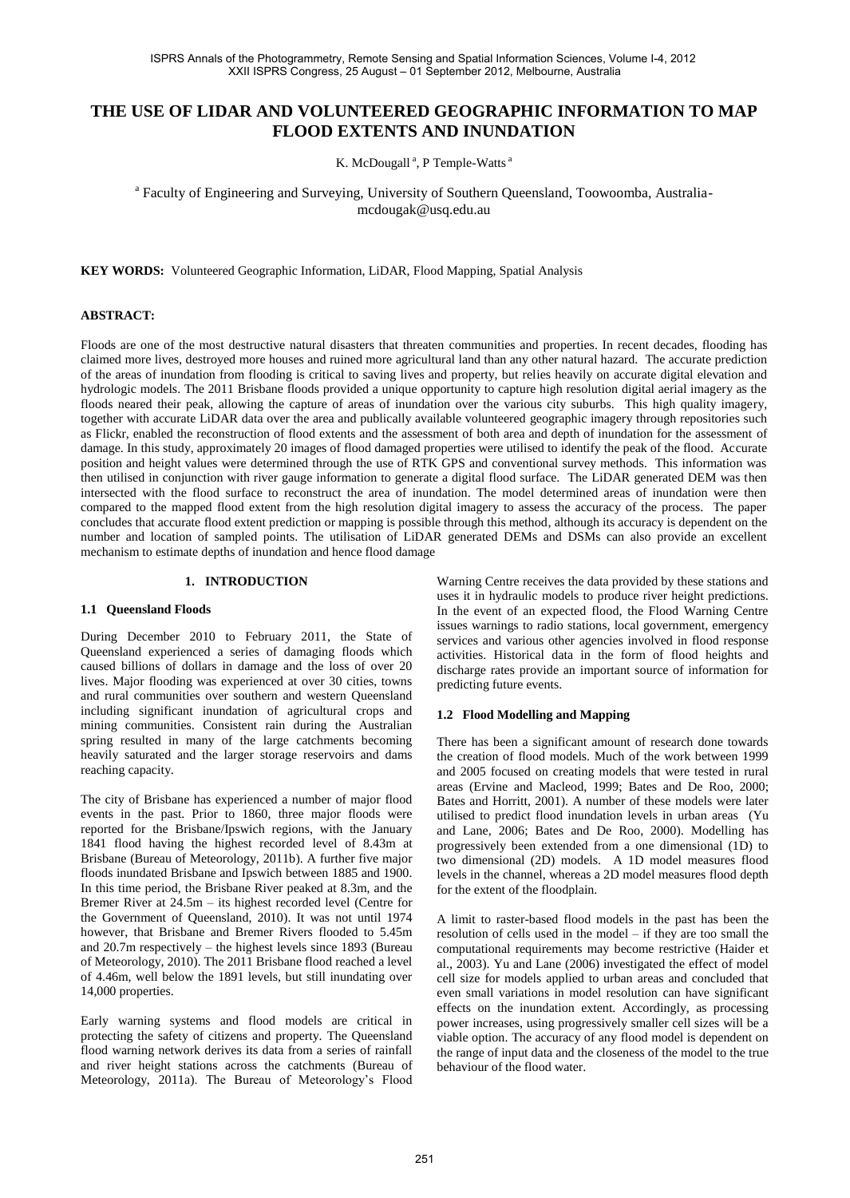# **THE USE OF LIDAR AND VOLUNTEERED GEOGRAPHIC INFORMATION TO MAP FLOOD EXTENTS AND INUNDATION**

K. McDougall<sup>a</sup>, P Temple-Watts<sup>a</sup>

<sup>a</sup> Faculty of Engineering and Surveying, University of Southern Queensland, Toowoomba, Australiamcdougak@usq.edu.au

**KEY WORDS:** Volunteered Geographic Information, LiDAR, Flood Mapping, Spatial Analysis

### **ABSTRACT:**

Floods are one of the most destructive natural disasters that threaten communities and properties. In recent decades, flooding has claimed more lives, destroyed more houses and ruined more agricultural land than any other natural hazard. The accurate prediction of the areas of inundation from flooding is critical to saving lives and property, but relies heavily on accurate digital elevation and hydrologic models. The 2011 Brisbane floods provided a unique opportunity to capture high resolution digital aerial imagery as the floods neared their peak, allowing the capture of areas of inundation over the various city suburbs. This high quality imagery, together with accurate LiDAR data over the area and publically available volunteered geographic imagery through repositories such as Flickr, enabled the reconstruction of flood extents and the assessment of both area and depth of inundation for the assessment of damage. In this study, approximately 20 images of flood damaged properties were utilised to identify the peak of the flood. Accurate position and height values were determined through the use of RTK GPS and conventional survey methods. This information was then utilised in conjunction with river gauge information to generate a digital flood surface. The LiDAR generated DEM was then intersected with the flood surface to reconstruct the area of inundation. The model determined areas of inundation were then compared to the mapped flood extent from the high resolution digital imagery to assess the accuracy of the process. The paper concludes that accurate flood extent prediction or mapping is possible through this method, although its accuracy is dependent on the number and location of sampled points. The utilisation of LiDAR generated DEMs and DSMs can also provide an excellent mechanism to estimate depths of inundation and hence flood damage

### **1. INTRODUCTION**

#### **1.1 Queensland Floods**

During December 2010 to February 2011, the State of Queensland experienced a series of damaging floods which caused billions of dollars in damage and the loss of over 20 lives. Major flooding was experienced at over 30 cities, towns and rural communities over southern and western Queensland including significant inundation of agricultural crops and mining communities. Consistent rain during the Australian spring resulted in many of the large catchments becoming heavily saturated and the larger storage reservoirs and dams reaching capacity.

The city of Brisbane has experienced a number of major flood events in the past. Prior to 1860, three major floods were reported for the Brisbane/Ipswich regions, with the January 1841 flood having the highest recorded level of 8.43m at Brisbane [\(Bureau of Meteorology, 2011b\)](#page-5-0). A further five major floods inundated Brisbane and Ipswich between 1885 and 1900. In this time period, the Brisbane River peaked at 8.3m, and the Bremer River at 24.5m – its highest recorded level [\(Centre for](#page-5-1)  [the Government of Queensland, 2010\)](#page-5-1). It was not until 1974 however, that Brisbane and Bremer Rivers flooded to 5.45m and 20.7m respectively – the highest levels since 1893 [\(Bureau](#page-5-2)  [of Meteorology, 2010\)](#page-5-2). The 2011 Brisbane flood reached a level of 4.46m, well below the 1891 levels, but still inundating over 14,000 properties.

Early warning systems and flood models are critical in protecting the safety of citizens and property. The Queensland flood warning network derives its data from a series of rainfall and river height stations across the catchments [\(Bureau of](#page-5-3)  [Meteorology, 2011a\)](#page-5-3). The Bureau of Meteorology's Flood

Warning Centre receives the data provided by these stations and uses it in hydraulic models to produce river height predictions. In the event of an expected flood, the Flood Warning Centre issues warnings to radio stations, local government, emergency services and various other agencies involved in flood response activities. Historical data in the form of flood heights and discharge rates provide an important source of information for predicting future events.

#### **1.2 Flood Modelling and Mapping**

There has been a significant amount of research done towards the creation of flood models. Much of the work between 1999 and 2005 focused on creating models that were tested in rural areas [\(Ervine and Macleod, 1999;](#page-5-4) [Bates and De Roo, 2000;](#page-5-5) [Bates and Horritt, 2001\)](#page-5-6). A number of these models were later utilised to predict flood inundation levels in urban areas [\(Yu](#page-5-7)  [and Lane, 2006;](#page-5-7) [Bates and De Roo, 2000\)](#page-5-5). Modelling has progressively been extended from a one dimensional (1D) to two dimensional (2D) models. A 1D model measures flood levels in the channel, whereas a 2D model measures flood depth for the extent of the floodplain.

A limit to raster-based flood models in the past has been the resolution of cells used in the model – if they are too small the computational requirements may become restrictive [\(Haider](#page-5-8) et [al., 2003\)](#page-5-8). Yu and Lane [\(2006\)](#page-5-7) investigated the effect of model cell size for models applied to urban areas and concluded that even small variations in model resolution can have significant effects on the inundation extent. Accordingly, as processing power increases, using progressively smaller cell sizes will be a viable option. The accuracy of any flood model is dependent on the range of input data and the closeness of the model to the true behaviour of the flood water.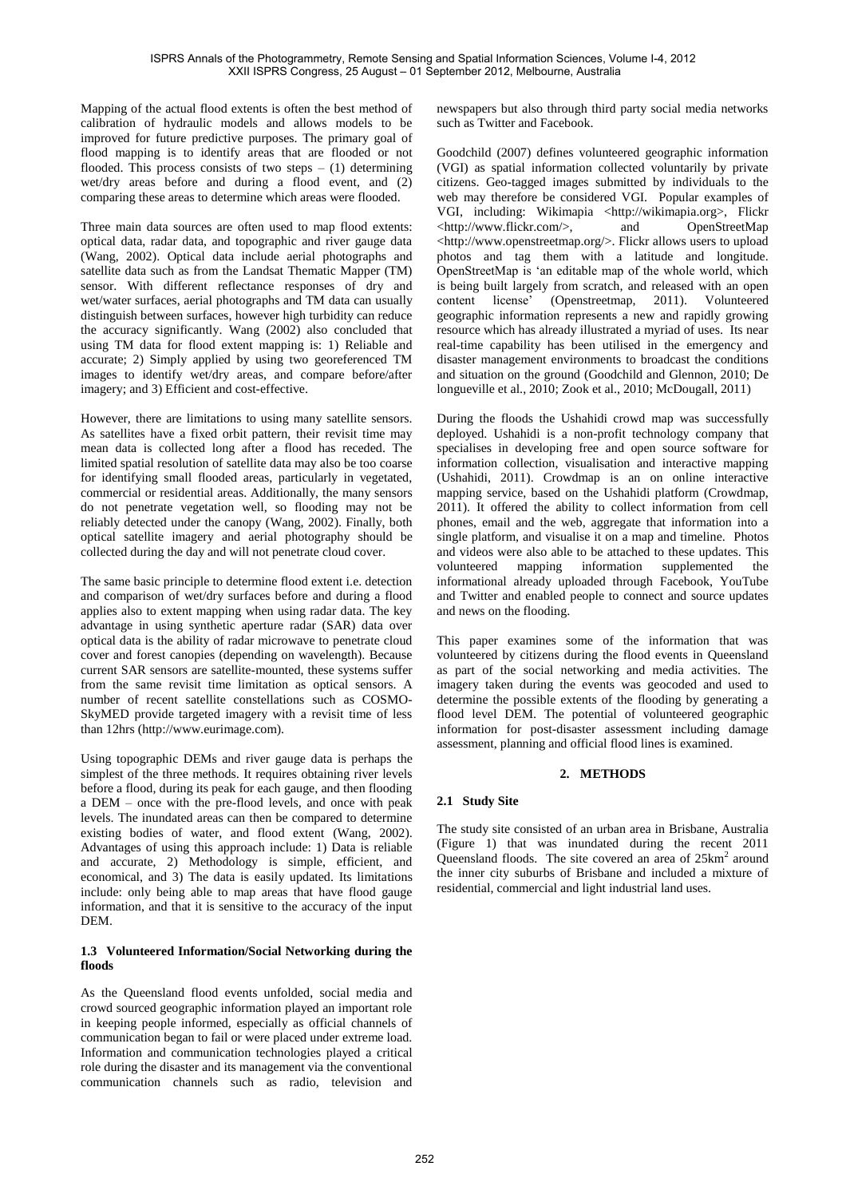Mapping of the actual flood extents is often the best method of calibration of hydraulic models and allows models to be improved for future predictive purposes. The primary goal of flood mapping is to identify areas that are flooded or not flooded. This process consists of two steps  $- (1)$  determining wet/dry areas before and during a flood event, and (2) comparing these areas to determine which areas were flooded.

Three main data sources are often used to map flood extents: optical data, radar data, and topographic and river gauge data [\(Wang, 2002\)](#page-5-9). Optical data include aerial photographs and satellite data such as from the Landsat Thematic Mapper (TM) sensor. With different reflectance responses of dry and wet/water surfaces, aerial photographs and TM data can usually distinguish between surfaces, however high turbidity can reduce the accuracy significantly. Wang (2002) also concluded that using TM data for flood extent mapping is: 1) Reliable and accurate; 2) Simply applied by using two georeferenced TM images to identify wet/dry areas, and compare before/after imagery; and 3) Efficient and cost-effective.

However, there are limitations to using many satellite sensors. As satellites have a fixed orbit pattern, their revisit time may mean data is collected long after a flood has receded. The limited spatial resolution of satellite data may also be too coarse for identifying small flooded areas, particularly in vegetated, commercial or residential areas. Additionally, the many sensors do not penetrate vegetation well, so flooding may not be reliably detected under the canopy [\(Wang, 2002\)](#page-5-9). Finally, both optical satellite imagery and aerial photography should be collected during the day and will not penetrate cloud cover.

The same basic principle to determine flood extent i.e. detection and comparison of wet/dry surfaces before and during a flood applies also to extent mapping when using radar data. The key advantage in using synthetic aperture radar (SAR) data over optical data is the ability of radar microwave to penetrate cloud cover and forest canopies (depending on wavelength). Because current SAR sensors are satellite-mounted, these systems suffer from the same revisit time limitation as optical sensors. A number of recent satellite constellations such as COSMO-SkyMED provide targeted imagery with a revisit time of less than 12hrs (http://www.eurimage.com).

Using topographic DEMs and river gauge data is perhaps the simplest of the three methods. It requires obtaining river levels before a flood, during its peak for each gauge, and then flooding a DEM – once with the pre-flood levels, and once with peak levels. The inundated areas can then be compared to determine existing bodies of water, and flood extent [\(Wang, 2002\)](#page-5-9). Advantages of using this approach include: 1) Data is reliable and accurate, 2) Methodology is simple, efficient, and economical, and 3) The data is easily updated. Its limitations include: only being able to map areas that have flood gauge information, and that it is sensitive to the accuracy of the input DEM.

# **1.3 Volunteered Information/Social Networking during the floods**

As the Queensland flood events unfolded, social media and crowd sourced geographic information played an important role in keeping people informed, especially as official channels of communication began to fail or were placed under extreme load. Information and communication technologies played a critical role during the disaster and its management via the conventional communication channels such as radio, television and

newspapers but also through third party social media networks such as Twitter and Facebook.

Goodchild [\(2007\)](#page-5-10) defines volunteered geographic information (VGI) as spatial information collected voluntarily by private citizens. Geo-tagged images submitted by individuals to the web may therefore be considered VGI. Popular examples of VGI, including: Wikimapia <http://wikimapia.org>, Flickr <http://www.flickr.com/>, and OpenStreetMap <http://www.openstreetmap.org/>. Flickr allows users to upload photos and tag them with a latitude and longitude. OpenStreetMap is 'an editable map of the whole world, which is being built largely from scratch, and released with an open content license' [\(Openstreetmap, 2011\)](#page-5-11). Volunteered geographic information represents a new and rapidly growing resource which has already illustrated a myriad of uses. Its near real-time capability has been utilised in the emergency and disaster management environments to broadcast the conditions and situation on the ground [\(Goodchild and Glennon, 2010;](#page-5-12) [De](#page-5-13)  [longueville et al., 2010;](#page-5-13) [Zook et al., 2010;](#page-5-14) [McDougall, 2011\)](#page-5-15)

During the floods the Ushahidi crowd map was successfully deployed. Ushahidi is a non-profit technology company that specialises in developing free and open source software for information collection, visualisation and interactive mapping [\(Ushahidi, 2011\)](#page-5-16). Crowdmap is an on online interactive mapping service, based on the Ushahidi platform [\(Crowdmap,](#page-5-17)  [2011\)](#page-5-17). It offered the ability to collect information from cell phones, email and the web, aggregate that information into a single platform, and visualise it on a map and timeline. Photos and videos were also able to be attached to these updates. This volunteered mapping information supplemented the informational already uploaded through Facebook, YouTube and Twitter and enabled people to connect and source updates and news on the flooding.

This paper examines some of the information that was volunteered by citizens during the flood events in Queensland as part of the social networking and media activities. The imagery taken during the events was geocoded and used to determine the possible extents of the flooding by generating a flood level DEM. The potential of volunteered geographic information for post-disaster assessment including damage assessment, planning and official flood lines is examined.

# **2. METHODS**

# **2.1 Study Site**

The study site consisted of an urban area in Brisbane, Australia (Figure 1) that was inundated during the recent 2011 Queensland floods. The site covered an area of 25km<sup>2</sup> around the inner city suburbs of Brisbane and included a mixture of residential, commercial and light industrial land uses.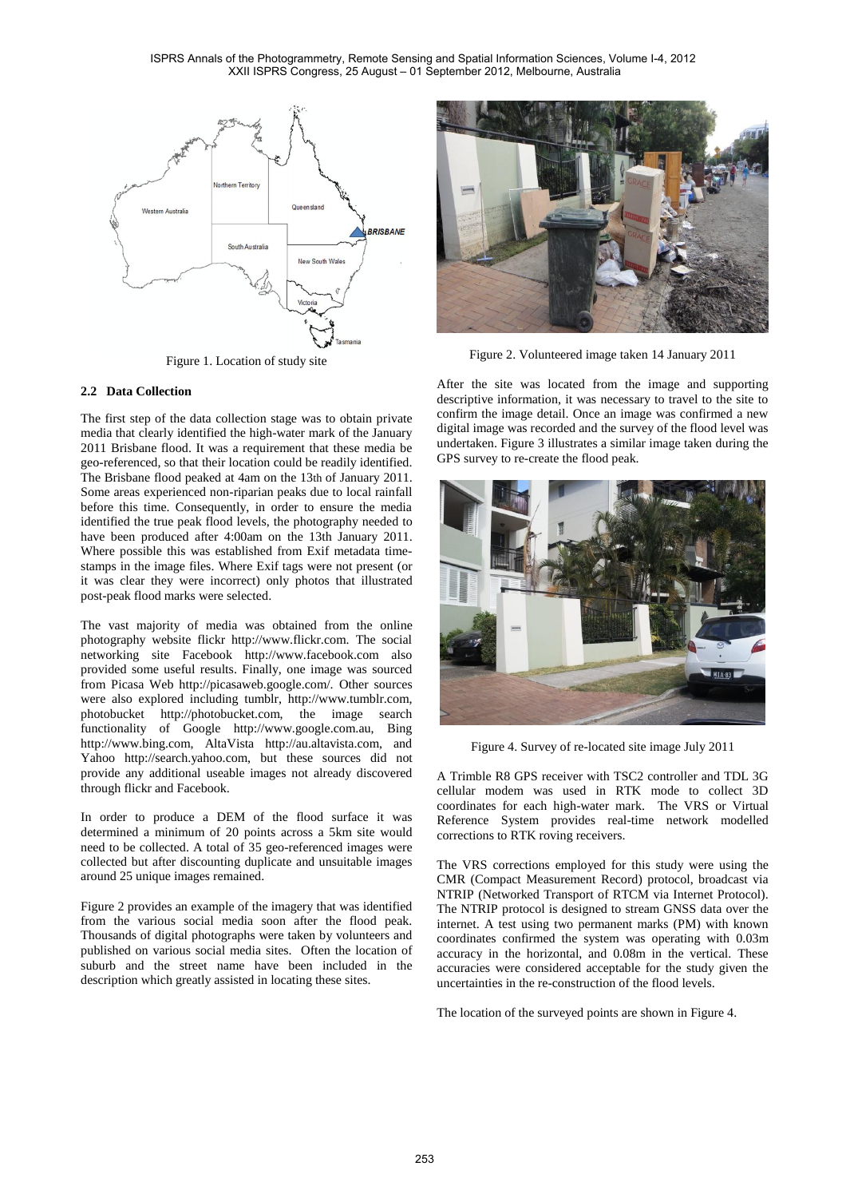ISPRS Annals of the Photogrammetry, Remote Sensing and Spatial Information Sciences, Volume I-4, 2012 XXII ISPRS Congress, 25 August – 01 September 2012, Melbourne, Australia



Figure 1. Location of study site

### **2.2 Data Collection**

The first step of the data collection stage was to obtain private media that clearly identified the high-water mark of the January 2011 Brisbane flood. It was a requirement that these media be geo-referenced, so that their location could be readily identified. The Brisbane flood peaked at 4am on the 13th of January 2011. Some areas experienced non-riparian peaks due to local rainfall before this time. Consequently, in order to ensure the media identified the true peak flood levels, the photography needed to have been produced after 4:00am on the 13th January 2011. Where possible this was established from Exif metadata timestamps in the image files. Where Exif tags were not present (or it was clear they were incorrect) only photos that illustrated post-peak flood marks were selected.

The vast majority of media was obtained from the online photography website flickr http://www.flickr.com. The social networking site Facebook http://www.facebook.com also provided some useful results. Finally, one image was sourced from Picasa Web http://picasaweb.google.com/. Other sources were also explored including tumblr, http://www.tumblr.com, photobucket http://photobucket.com, the image search functionality of Google http://www.google.com.au, Bing http://www.bing.com, AltaVista http://au.altavista.com, and Yahoo http://search.yahoo.com, but these sources did not provide any additional useable images not already discovered through flickr and Facebook.

In order to produce a DEM of the flood surface it was determined a minimum of 20 points across a 5km site would need to be collected. A total of 35 geo-referenced images were collected but after discounting duplicate and unsuitable images around 25 unique images remained.

Figure 2 provides an example of the imagery that was identified from the various social media soon after the flood peak. Thousands of digital photographs were taken by volunteers and published on various social media sites. Often the location of suburb and the street name have been included in the description which greatly assisted in locating these sites.



Figure 2. Volunteered image taken 14 January 2011

After the site was located from the image and supporting descriptive information, it was necessary to travel to the site to confirm the image detail. Once an image was confirmed a new digital image was recorded and the survey of the flood level was undertaken. Figure 3 illustrates a similar image taken during the GPS survey to re-create the flood peak.



Figure 4. Survey of re-located site image July 2011

A Trimble R8 GPS receiver with TSC2 controller and TDL 3G cellular modem was used in RTK mode to collect 3D coordinates for each high-water mark. The VRS or Virtual Reference System provides real-time network modelled corrections to RTK roving receivers.

The VRS corrections employed for this study were using the CMR (Compact Measurement Record) protocol, broadcast via NTRIP (Networked Transport of RTCM via Internet Protocol). The NTRIP protocol is designed to stream GNSS data over the internet. A test using two permanent marks (PM) with known coordinates confirmed the system was operating with 0.03m accuracy in the horizontal, and 0.08m in the vertical. These accuracies were considered acceptable for the study given the uncertainties in the re-construction of the flood levels.

The location of the surveyed points are shown in Figure 4.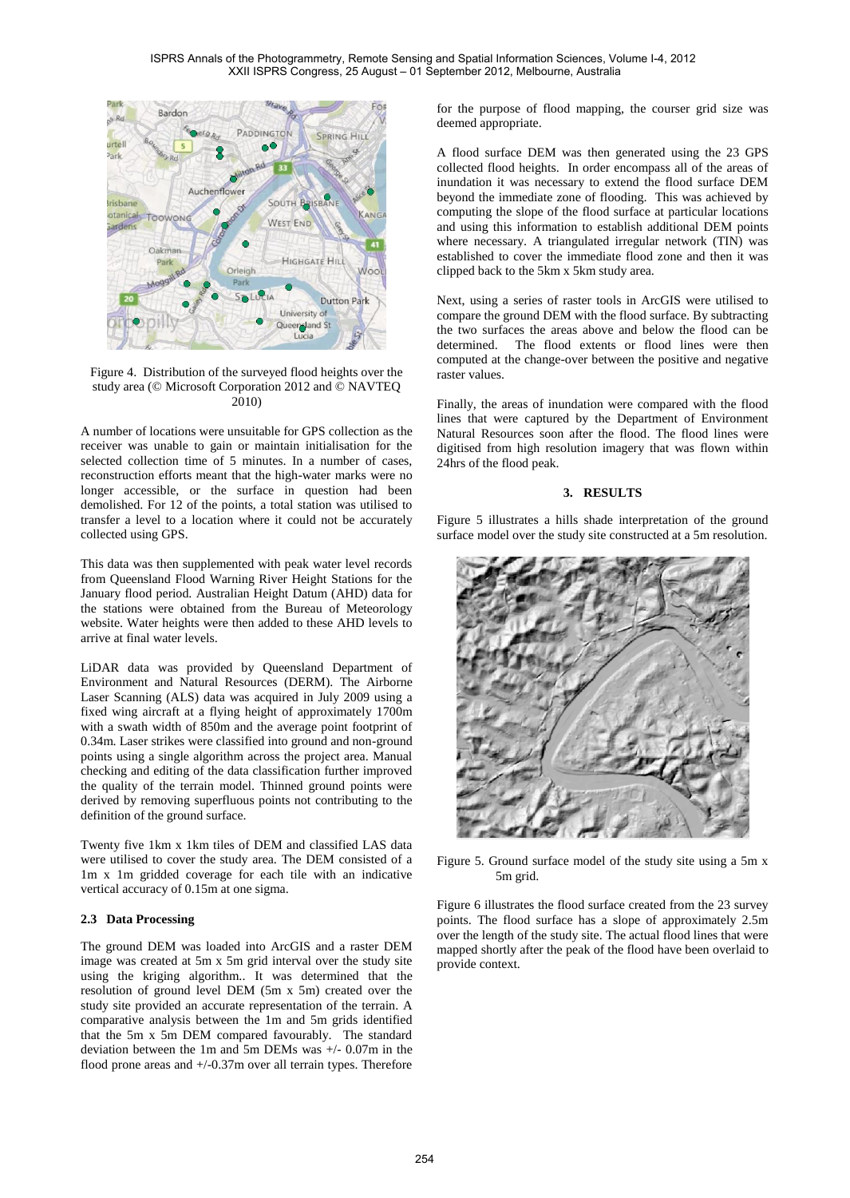

Figure 4. Distribution of the surveyed flood heights over the study area (© Microsoft Corporation 2012 and © NAVTEQ 2010)

A number of locations were unsuitable for GPS collection as the receiver was unable to gain or maintain initialisation for the selected collection time of 5 minutes. In a number of cases, reconstruction efforts meant that the high-water marks were no longer accessible, or the surface in question had been demolished. For 12 of the points, a total station was utilised to transfer a level to a location where it could not be accurately collected using GPS.

This data was then supplemented with peak water level records from Queensland Flood Warning River Height Stations for the January flood period. Australian Height Datum (AHD) data for the stations were obtained from the Bureau of Meteorology website. Water heights were then added to these AHD levels to arrive at final water levels.

LiDAR data was provided by Queensland Department of Environment and Natural Resources (DERM). The Airborne Laser Scanning (ALS) data was acquired in July 2009 using a fixed wing aircraft at a flying height of approximately 1700m with a swath width of 850m and the average point footprint of 0.34m. Laser strikes were classified into ground and non-ground points using a single algorithm across the project area. Manual checking and editing of the data classification further improved the quality of the terrain model. Thinned ground points were derived by removing superfluous points not contributing to the definition of the ground surface.

Twenty five 1km x 1km tiles of DEM and classified LAS data were utilised to cover the study area. The DEM consisted of a 1m x 1m gridded coverage for each tile with an indicative vertical accuracy of 0.15m at one sigma.

# **2.3 Data Processing**

The ground DEM was loaded into ArcGIS and a raster DEM image was created at 5m x 5m grid interval over the study site using the kriging algorithm.. It was determined that the resolution of ground level DEM (5m x 5m) created over the study site provided an accurate representation of the terrain. A comparative analysis between the 1m and 5m grids identified that the 5m x 5m DEM compared favourably. The standard deviation between the 1m and 5m DEMs was +/- 0.07m in the flood prone areas and  $+/-0.37$ m over all terrain types. Therefore for the purpose of flood mapping, the courser grid size was deemed appropriate.

A flood surface DEM was then generated using the 23 GPS collected flood heights. In order encompass all of the areas of inundation it was necessary to extend the flood surface DEM beyond the immediate zone of flooding. This was achieved by computing the slope of the flood surface at particular locations and using this information to establish additional DEM points where necessary. A triangulated irregular network (TIN) was established to cover the immediate flood zone and then it was clipped back to the 5km x 5km study area.

Next, using a series of raster tools in ArcGIS were utilised to compare the ground DEM with the flood surface. By subtracting the two surfaces the areas above and below the flood can be determined. The flood extents or flood lines were then computed at the change-over between the positive and negative raster values.

Finally, the areas of inundation were compared with the flood lines that were captured by the Department of Environment Natural Resources soon after the flood. The flood lines were digitised from high resolution imagery that was flown within 24hrs of the flood peak.

### **3. RESULTS**

Figure 5 illustrates a hills shade interpretation of the ground surface model over the study site constructed at a 5m resolution.



Figure 5. Ground surface model of the study site using a 5m x 5m grid.

Figure 6 illustrates the flood surface created from the 23 survey points. The flood surface has a slope of approximately 2.5m over the length of the study site. The actual flood lines that were mapped shortly after the peak of the flood have been overlaid to provide context.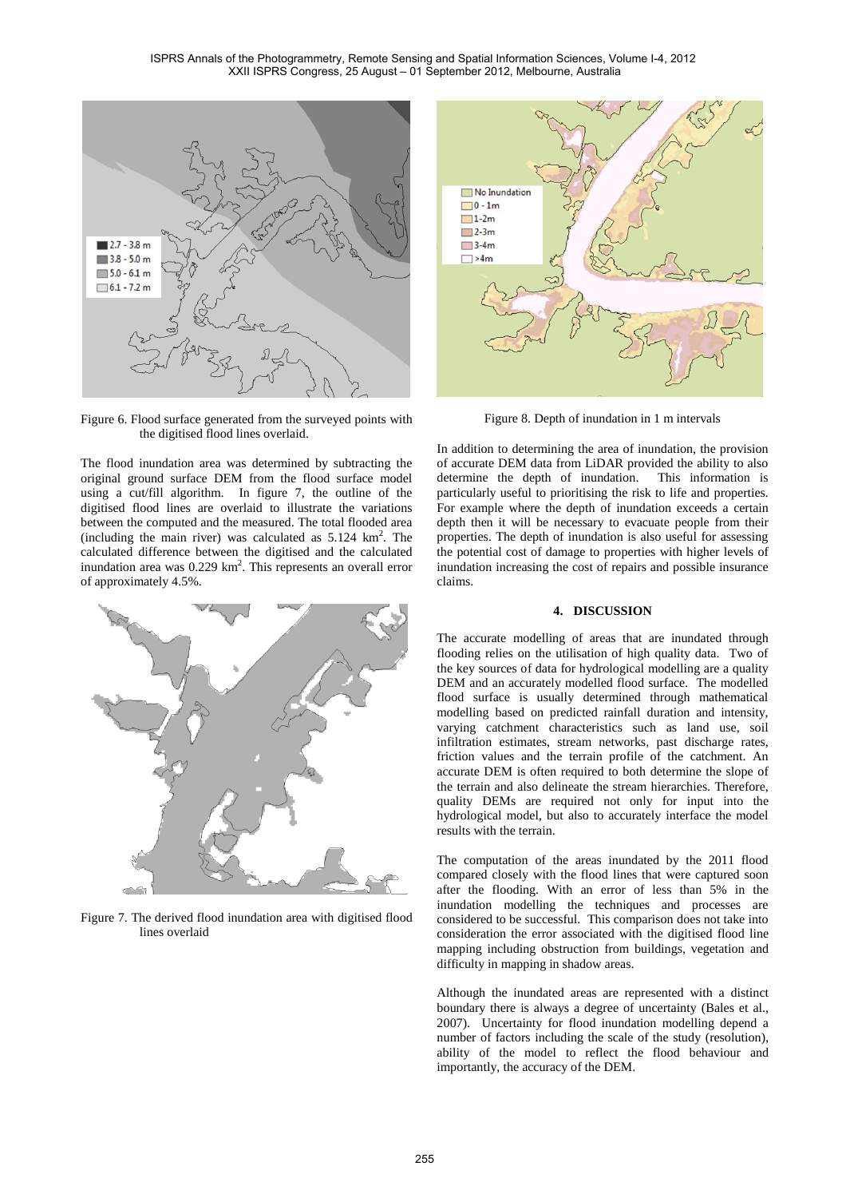

Figure 6. Flood surface generated from the surveyed points with the digitised flood lines overlaid.

The flood inundation area was determined by subtracting the original ground surface DEM from the flood surface model using a cut/fill algorithm. In figure 7, the outline of the digitised flood lines are overlaid to illustrate the variations between the computed and the measured. The total flooded area (including the main river) was calculated as  $5.124 \text{ km}^2$ . The calculated difference between the digitised and the calculated inundation area was  $0.229 \text{ km}^2$ . This represents an overall error of approximately 4.5%.



Figure 7. The derived flood inundation area with digitised flood lines overlaid



Figure 8. Depth of inundation in 1 m intervals

In addition to determining the area of inundation, the provision of accurate DEM data from LiDAR provided the ability to also determine the depth of inundation. This information is particularly useful to prioritising the risk to life and properties. For example where the depth of inundation exceeds a certain depth then it will be necessary to evacuate people from their properties. The depth of inundation is also useful for assessing the potential cost of damage to properties with higher levels of inundation increasing the cost of repairs and possible insurance claims.

# **4. DISCUSSION**

The accurate modelling of areas that are inundated through flooding relies on the utilisation of high quality data. Two of the key sources of data for hydrological modelling are a quality DEM and an accurately modelled flood surface. The modelled flood surface is usually determined through mathematical modelling based on predicted rainfall duration and intensity, varying catchment characteristics such as land use, soil infiltration estimates, stream networks, past discharge rates, friction values and the terrain profile of the catchment. An accurate DEM is often required to both determine the slope of the terrain and also delineate the stream hierarchies. Therefore, quality DEMs are required not only for input into the hydrological model, but also to accurately interface the model results with the terrain.

The computation of the areas inundated by the 2011 flood compared closely with the flood lines that were captured soon after the flooding. With an error of less than 5% in the inundation modelling the techniques and processes are considered to be successful. This comparison does not take into consideration the error associated with the digitised flood line mapping including obstruction from buildings, vegetation and difficulty in mapping in shadow areas.

Although the inundated areas are represented with a distinct boundary there is always a degree of uncertainty [\(Bales et al.,](#page-5-18)  [2007\)](#page-5-18). Uncertainty for flood inundation modelling depend a number of factors including the scale of the study (resolution), ability of the model to reflect the flood behaviour and importantly, the accuracy of the DEM.